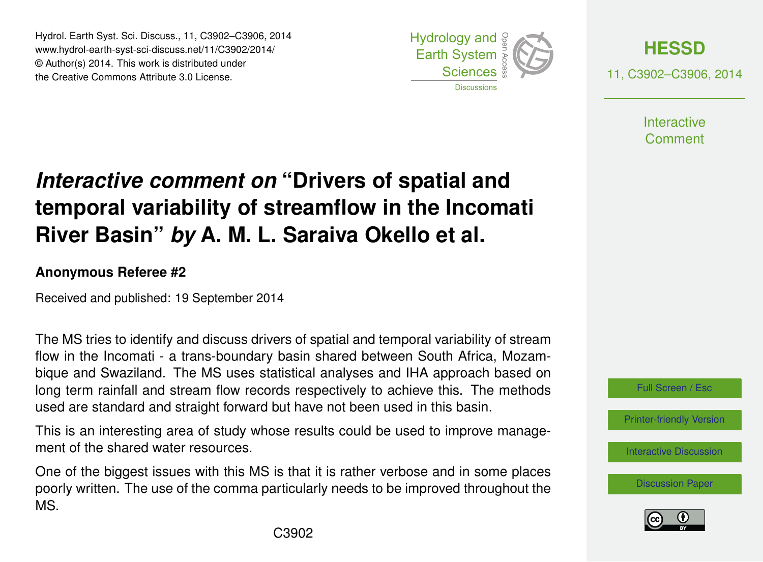Hydrol. Earth Syst. Sci. Discuss., 11, C3902–C3906, 2014 www.hydrol-earth-syst-sci-discuss.net/11/C3902/2014/ © Author(s) 2014. This work is distributed under the Creative Commons Attribute 3.0 License.





11, C3902–C3906, 2014

**Interactive** Comment

# *Interactive comment on* **"Drivers of spatial and temporal variability of streamflow in the Incomati River Basin"** *by* **A. M. L. Saraiva Okello et al.**

#### **Anonymous Referee #2**

Received and published: 19 September 2014

The MS tries to identify and discuss drivers of spatial and temporal variability of stream flow in the Incomati - a trans-boundary basin shared between South Africa, Mozambique and Swaziland. The MS uses statistical analyses and IHA approach based on long term rainfall and stream flow records respectively to achieve this. The methods used are standard and straight forward but have not been used in this basin.

This is an interesting area of study whose results could be used to improve management of the shared water resources.

One of the biggest issues with this MS is that it is rather verbose and in some places poorly written. The use of the comma particularly needs to be improved throughout the MS.



[Printer-friendly Version](http://www.hydrol-earth-syst-sci-discuss.net/11/C3902/2014/hessd-11-C3902-2014-print.pdf)

[Interactive Discussion](http://www.hydrol-earth-syst-sci-discuss.net/11/8879/2014/hessd-11-8879-2014-discussion.html)

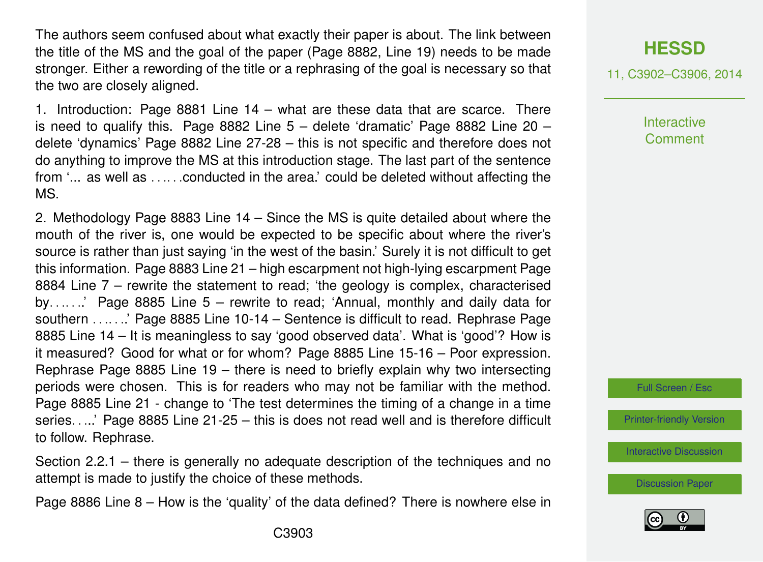The authors seem confused about what exactly their paper is about. The link between the title of the MS and the goal of the paper (Page 8882, Line 19) needs to be made stronger. Either a rewording of the title or a rephrasing of the goal is necessary so that the two are closely aligned.

1. Introduction: Page 8881 Line 14 – what are these data that are scarce. There is need to qualify this. Page 8882 Line  $5 -$  delete 'dramatic' Page 8882 Line 20 – delete 'dynamics' Page 8882 Line 27-28 – this is not specific and therefore does not do anything to improve the MS at this introduction stage. The last part of the sentence from '... as well as . . .. . .conducted in the area.' could be deleted without affecting the MS.

2. Methodology Page 8883 Line 14 – Since the MS is quite detailed about where the mouth of the river is, one would be expected to be specific about where the river's source is rather than just saying 'in the west of the basin.' Surely it is not difficult to get this information. Page 8883 Line 21 – high escarpment not high-lying escarpment Page 8884 Line 7 – rewrite the statement to read; 'the geology is complex, characterised by. . .. . ..' Page 8885 Line 5 – rewrite to read; 'Annual, monthly and daily data for southern . . . . . . ' Page 8885 Line 10-14 – Sentence is difficult to read. Rephrase Page 8885 Line 14 – It is meaningless to say 'good observed data'. What is 'good'? How is it measured? Good for what or for whom? Page 8885 Line 15-16 – Poor expression. Rephrase Page 8885 Line 19 – there is need to briefly explain why two intersecting periods were chosen. This is for readers who may not be familiar with the method. Page 8885 Line 21 - change to 'The test determines the timing of a change in a time series. . ...' Page 8885 Line 21-25 – this is does not read well and is therefore difficult to follow. Rephrase.

Section 2.2.1 – there is generally no adequate description of the techniques and no attempt is made to justify the choice of these methods.

Page 8886 Line 8 – How is the 'quality' of the data defined? There is nowhere else in

### **[HESSD](http://www.hydrol-earth-syst-sci-discuss.net)**

11, C3902–C3906, 2014

**Interactive Comment** 

Full Screen / Esc

[Printer-friendly Version](http://www.hydrol-earth-syst-sci-discuss.net/11/C3902/2014/hessd-11-C3902-2014-print.pdf)

[Interactive Discussion](http://www.hydrol-earth-syst-sci-discuss.net/11/8879/2014/hessd-11-8879-2014-discussion.html)

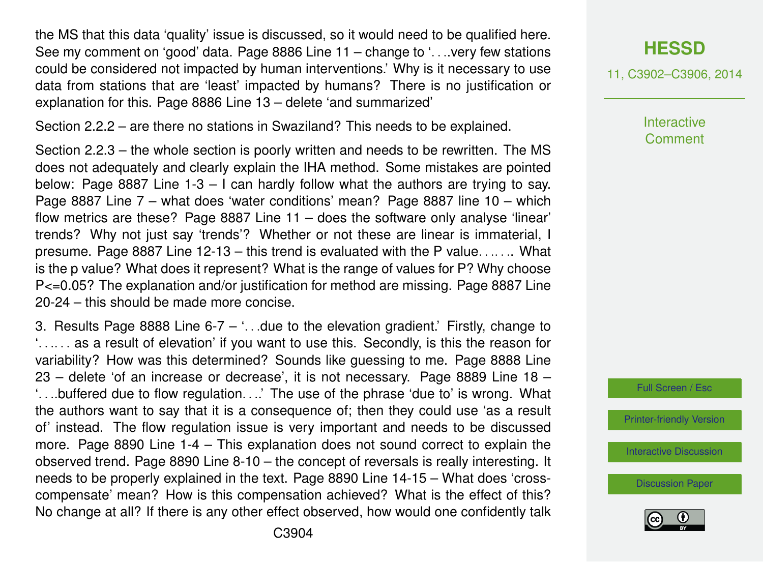the MS that this data 'quality' issue is discussed, so it would need to be qualified here. See my comment on 'good' data. Page 8886 Line 11 – change to '. . ..very few stations could be considered not impacted by human interventions.' Why is it necessary to use data from stations that are 'least' impacted by humans? There is no justification or explanation for this. Page 8886 Line 13 – delete 'and summarized'

Section 2.2.2 – are there no stations in Swaziland? This needs to be explained.

Section 2.2.3 – the whole section is poorly written and needs to be rewritten. The MS does not adequately and clearly explain the IHA method. Some mistakes are pointed below: Page 8887 Line 1-3 – I can hardly follow what the authors are trying to say. Page 8887 Line 7 – what does 'water conditions' mean? Page 8887 line 10 – which flow metrics are these? Page 8887 Line 11 – does the software only analyse 'linear' trends? Why not just say 'trends'? Whether or not these are linear is immaterial, I presume. Page 8887 Line 12-13 – this trend is evaluated with the P value. . .. . .. What is the p value? What does it represent? What is the range of values for P? Why choose P<=0.05? The explanation and/or justification for method are missing. Page 8887 Line 20-24 – this should be made more concise.

3. Results Page 8888 Line  $6-7 - 1$ . due to the elevation gradient. Firstly, change to '. . .. . . as a result of elevation' if you want to use this. Secondly, is this the reason for variability? How was this determined? Sounds like guessing to me. Page 8888 Line 23 – delete 'of an increase or decrease', it is not necessary. Page 8889 Line 18 – '. . ..buffered due to flow regulation. . ..' The use of the phrase 'due to' is wrong. What the authors want to say that it is a consequence of; then they could use 'as a result of' instead. The flow regulation issue is very important and needs to be discussed more. Page 8890 Line 1-4 – This explanation does not sound correct to explain the observed trend. Page 8890 Line 8-10 – the concept of reversals is really interesting. It needs to be properly explained in the text. Page 8890 Line 14-15 – What does 'crosscompensate' mean? How is this compensation achieved? What is the effect of this? No change at all? If there is any other effect observed, how would one confidently talk

11, C3902–C3906, 2014

**Interactive Comment** 

Full Screen / Esc

[Printer-friendly Version](http://www.hydrol-earth-syst-sci-discuss.net/11/C3902/2014/hessd-11-C3902-2014-print.pdf)

[Interactive Discussion](http://www.hydrol-earth-syst-sci-discuss.net/11/8879/2014/hessd-11-8879-2014-discussion.html)

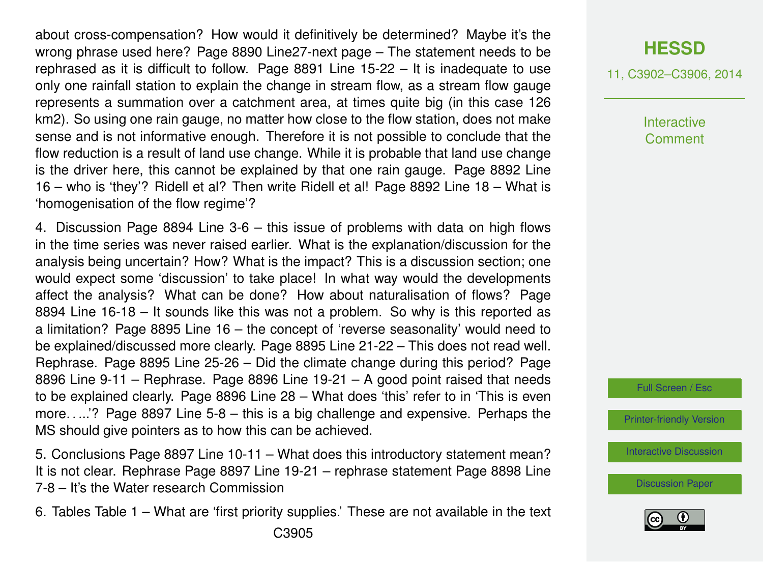about cross-compensation? How would it definitively be determined? Maybe it's the wrong phrase used here? Page 8890 Line27-next page – The statement needs to be rephrased as it is difficult to follow. Page 8891 Line 15-22 – It is inadequate to use only one rainfall station to explain the change in stream flow, as a stream flow gauge represents a summation over a catchment area, at times quite big (in this case 126 km2). So using one rain gauge, no matter how close to the flow station, does not make sense and is not informative enough. Therefore it is not possible to conclude that the flow reduction is a result of land use change. While it is probable that land use change is the driver here, this cannot be explained by that one rain gauge. Page 8892 Line 16 – who is 'they'? Ridell et al? Then write Ridell et al! Page 8892 Line 18 – What is 'homogenisation of the flow regime'?

4. Discussion Page 8894 Line 3-6 – this issue of problems with data on high flows in the time series was never raised earlier. What is the explanation/discussion for the analysis being uncertain? How? What is the impact? This is a discussion section; one would expect some 'discussion' to take place! In what way would the developments affect the analysis? What can be done? How about naturalisation of flows? Page 8894 Line 16-18 – It sounds like this was not a problem. So why is this reported as a limitation? Page 8895 Line 16 – the concept of 'reverse seasonality' would need to be explained/discussed more clearly. Page 8895 Line 21-22 – This does not read well. Rephrase. Page 8895 Line 25-26 – Did the climate change during this period? Page 8896 Line 9-11 – Rephrase. Page 8896 Line 19-21 – A good point raised that needs to be explained clearly. Page 8896 Line 28 – What does 'this' refer to in 'This is even more. . ...'? Page 8897 Line 5-8 – this is a big challenge and expensive. Perhaps the MS should give pointers as to how this can be achieved.

5. Conclusions Page 8897 Line 10-11 – What does this introductory statement mean? It is not clear. Rephrase Page 8897 Line 19-21 – rephrase statement Page 8898 Line 7-8 – It's the Water research Commission

6. Tables Table 1 – What are 'first priority supplies.' These are not available in the text C3905

# **[HESSD](http://www.hydrol-earth-syst-sci-discuss.net)**

11, C3902–C3906, 2014

**Interactive Comment** 

Full Screen / Esc

[Printer-friendly Version](http://www.hydrol-earth-syst-sci-discuss.net/11/C3902/2014/hessd-11-C3902-2014-print.pdf)

[Interactive Discussion](http://www.hydrol-earth-syst-sci-discuss.net/11/8879/2014/hessd-11-8879-2014-discussion.html)